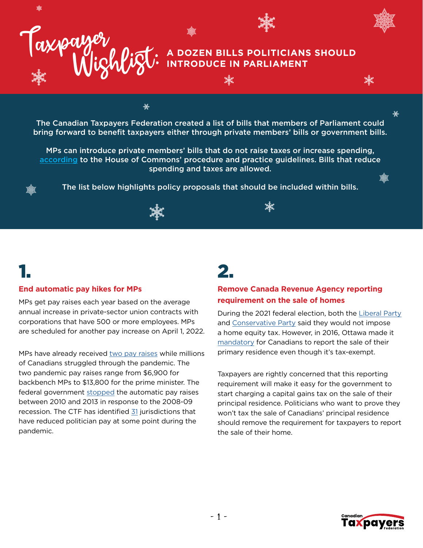

#### **A DOZEN BILLS POLITICIANS SHOULD INTRODUCE IN PARLIAMENT**

瀐

The Canadian Taxpayers Federation created a list of bills that members of Parliament could bring forward to benefit taxpayers either through private members' bills or government bills.

☀

MPs can introduce private members' bills that do not raise taxes or increase spending, [according](https://www.ourcommons.ca/About/ProcedureAndPractice3rdEdition/ch_21_2-e.html#21-2-2) to the House of Commons' procedure and practice guidelines. Bills that reduce spending and taxes are allowed.

The list below highlights policy proposals that should be included within bills.

### 1.

#### **End automatic pay hikes for MPs**

MPs get pay raises each year based on the average annual increase in private-sector union contracts with corporations that have 500 or more employees. MPs are scheduled for another pay increase on April 1, 2022.

MPs have already received [two pay raises](https://lop.parl.ca/sites/ParlInfo/default/en_CA/People/Salaries) while millions of Canadians struggled through the pandemic. The two pandemic pay raises range from \$6,900 for backbench MPs to \$13,800 for the prime minister. The federal government [stopped](https://www.theglobeandmail.com/politics/article-liberals-mum-as-tories-ndp-say-they-would-support-mp-pay-freeze/) the automatic pay raises between 2010 and 2013 in response to the 2008-09 recession. The CTF has identified [31](http://www.taxpayer.com/media/Labour-Day-Reality-Check-2021.pdf) jurisdictions that have reduced politician pay at some point during the pandemic.

### 2.

#### **Remove Canada Revenue Agency reporting requirement on the sale of homes**

During the 2021 federal election, both the [Liberal Party](https://twitter.com/MarkGerretsen/status/1436094093386559489) and [Conservative Party](https://cpcassets.conservative.ca/wp-content/uploads/2021/09/08200659/e4cd8c0115c3ea0.pdf) said they would not impose a home equity tax. However, in 2016, Ottawa made it [mandatory](https://www.canada.ca/en/revenue-agency/programs/about-canada-revenue-agency-cra/federal-government-budgets/budget-2016-growing-middle-class/reporting-sale-your-principal-residence-individuals.html?fbclid=IwAR3UpEbnoafX448QO6zFPYcsWytMl2ejQnT4tjzpkzFzKZexaCI5-LuXU8g) for Canadians to report the sale of their primary residence even though it's tax-exempt.

Taxpayers are rightly concerned that this reporting requirement will make it easy for the government to start charging a capital gains tax on the sale of their principal residence. Politicians who want to prove they won't tax the sale of Canadians' principal residence should remove the requirement for taxpayers to report the sale of their home.



₩

濑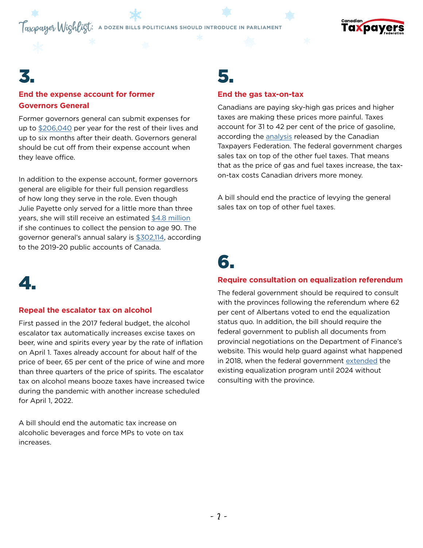# **Taxpayer Wighligt:** A DOZEN BILLS POLITICIANS SHOULD INTRODUCE IN PARLIAMENT



### 3.

4.

#### **End the expense account for former Governors General**

Former governors general can submit expenses for up to [\\$206,040](https://www.taxpayer.com/newsroom/former-governor-generals-allowed-to-bill-canadians-beyond-the-grave) per year for the rest of their lives and up to six months after their death. Governors general should be cut off from their expense account when they leave office.

In addition to the expense account, former governors general are eligible for their full pension regardless of how long they serve in the role. Even though Julie Payette only served for a little more than three years, she will still receive an estimated [\\$4.8 million](https://www.taxpayer.com/newsroom/pensions-for-former-governors-general-cost-taxpayers-more-than-18-million) if she continues to collect the pension to age 90. The governor general's annual salary is [\\$302,114](https://www.tpsgc-pwgsc.gc.ca/recgen/cpc-pac/2020/pdf/2020-vol2-eng.pdf), according to the 2019-20 public accounts of Canada.

### 5.

#### **End the gas tax-on-tax**

Canadians are paying sky-high gas prices and higher taxes are making these prices more painful. Taxes account for 31 to 42 per cent of the price of gasoline, according the [analysis](http://www.taxpayer.com/media/CTF - GTHD 2021 Report -V5 - May 18, 2021.pdf) released by the Canadian Taxpayers Federation. The federal government charges sales tax on top of the other fuel taxes. That means that as the price of gas and fuel taxes increase, the taxon-tax costs Canadian drivers more money.

A bill should end the practice of levying the general sales tax on top of other fuel taxes.

# 6.

#### **Require consultation on equalization referendum**

**Repeal the escalator tax on alcohol**

First passed in the 2017 federal budget, the alcohol escalator tax automatically increases excise taxes on beer, wine and spirits every year by the rate of inflation on April 1. Taxes already account for about half of the price of beer, 65 per cent of the price of wine and more than three quarters of the price of spirits. The escalator tax on alcohol means booze taxes have increased twice during the pandemic with another increase scheduled for April 1, 2022.

A bill should end the automatic tax increase on alcoholic beverages and force MPs to vote on tax increases.

The federal government should be required to consult with the provinces following the referendum where 62 per cent of Albertans voted to end the equalization status quo. In addition, the bill should require the federal government to publish all documents from provincial negotiations on the Department of Finance's website. This would help guard against what happened in 2018, when the federal government [extended](https://www.youtube.com/watch?v=G254La_gCB8) the existing equalization program until 2024 without consulting with the province.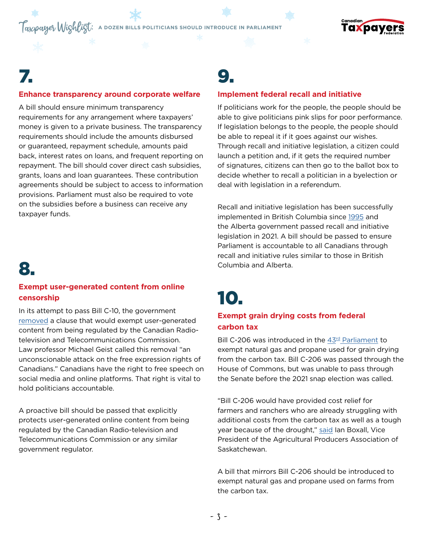**Taxpayer Wighligt:** A DOZEN BILLS POLITICIANS SHOULD INTRODUCE IN PARLIAMENT



### 7.

#### **Enhance transparency around corporate welfare**

A bill should ensure minimum transparency requirements for any arrangement where taxpayers' money is given to a private business. The transparency requirements should include the amounts disbursed or guaranteed, repayment schedule, amounts paid back, interest rates on loans, and frequent reporting on repayment. The bill should cover direct cash subsidies, grants, loans and loan guarantees. These contribution agreements should be subject to access to information provisions. Parliament must also be required to vote on the subsidies before a business can receive any taxpayer funds.

# 8.

#### **Exempt user-generated content from online censorship**

In its attempt to pass Bill C-10, the government [removed](https://www.theglobeandmail.com/opinion/editorials/article-the-trudeau-government-says-it-wont-regulate-user-content-on-social/) a clause that would exempt user-generated content from being regulated by the Canadian Radiotelevision and Telecommunications Commission. Law professor Michael Geist called this removal "an unconscionable attack on the free expression rights of Canadians." Canadians have the right to free speech on social media and online platforms. That right is vital to hold politicians accountable.

A proactive bill should be passed that explicitly protects user-generated online content from being regulated by the Canadian Radio-television and Telecommunications Commission or any similar government regulator.

### 9.

#### **Implement federal recall and initiative**

If politicians work for the people, the people should be able to give politicians pink slips for poor performance. If legislation belongs to the people, the people should be able to repeal it if it goes against our wishes. Through recall and initiative legislation, a citizen could launch a petition and, if it gets the required number of signatures, citizens can then go to the ballot box to decide whether to recall a politician in a byelection or deal with legislation in a referendum.

Recall and initiative legislation has been successfully implemented in British Columbia since [1995](https://elections.bc.ca/recall-initiative/recall/) and the Alberta government passed recall and initiative legislation in 2021. A bill should be passed to ensure Parliament is accountable to all Canadians through recall and initiative rules similar to those in British Columbia and Alberta.

# 10.

#### **Exempt grain drying costs from federal carbon tax**

Bill C-206 was introduced in the 43<sup>rd</sup> Parliament to exempt natural gas and propane used for grain drying from the carbon tax. Bill C-206 was passed through the House of Commons, but was unable to pass through the Senate before the 2021 snap election was called.

"Bill C-206 would have provided cost relief for farmers and ranchers who are already struggling with additional costs from the carbon tax as well as a tough year because of the drought," [said](https://globalnews.ca/news/8119375/bill-farm-fuels-carbon-tax-federal-election/) Ian Boxall, Vice President of the Agricultural Producers Association of Saskatchewan.

A bill that mirrors Bill C-206 should be introduced to exempt natural gas and propane used on farms from the carbon tax.